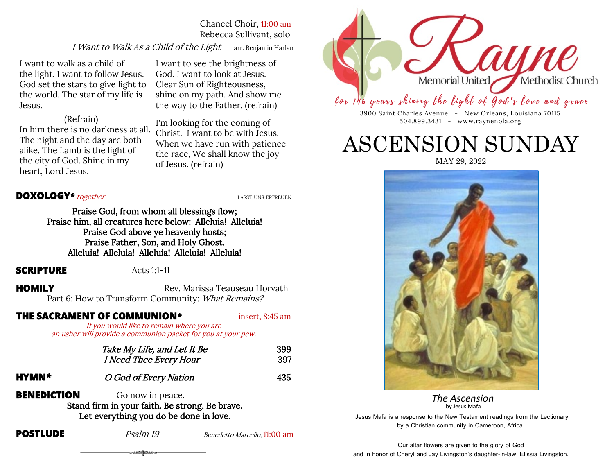Chancel Choir, 11:00 am Rebecca Sullivant, solo

I Want to Walk As a Child of the Light arr. Benjamin Harlan

I want to walk as a child of the light. I want to follow Jesus. God set the stars to give light to the world. The star of my life is Jesus.

I want to see the brightness of God. I want to look at Jesus. Clear Sun of Righteousness, shine on my path. And show me the way to the Father. (refrain)

 (Refrain) In him there is no darkness at all. The night and the day are both alike. The Lamb is the light of the city of God. Shine in my heart, Lord Jesus.

I'm looking for the coming of Christ. I want to be with Jesus. When we have run with patience the race, We shall know the joy of Jesus. (refrain)

### **DOXOLOGY**<sup>\*</sup> together<br> **LASST UNS ERFREUEN**

Praise God, from whom all blessings flow; Praise him, all creatures here below: Alleluia! Alleluia! Praise God above ye heavenly hosts; Praise Father, Son, and Holy Ghost. Alleluia! Alleluia! Alleluia! Alleluia! Alleluia!

#### **SCRIPTURE** Acts 1:1-11

**HOMILY** Rev. Marissa Teauseau Horvath Part 6: How to Transform Community: What Remains?

**THE SACRAMENT OF COMMUNION***\** insert, 8:45 am

If you would like to remain where you are an usher will provide a communion packet for you at your pew.

|              | Take My Life, and Let It Be<br>I Need Thee Every Hour | 399<br>397 |
|--------------|-------------------------------------------------------|------------|
| <b>HYMN*</b> | O God of Every Nation                                 | 435        |

**BENEDICTION** Go now in peace. Stand firm in your faith. Be strong. Be brave. Let everything you do be done in love.

ಀೕೢೢ಄ಁೢೢೢ

**POSTLUDE** *Psalm 19* Benedetto Marcello, 11:00 am



for 146 years shining the light of God's love and grace

3900 Saint Charles Avenue - New Orleans, Louisiana 70115 504.899.3431 - www.raynenola.org

# ASCENSION SUNDAY

MAY 29, 2022



 *The Ascension* by Jesus Mafa

Jesus Mafa is a response to the New Testament readings from the Lectionary by a Christian community in Cameroon, Africa.

Our altar flowers are given to the glory of God and in honor of Cheryl and Jay Livingston's daughter-in-law, Elissia Livingston.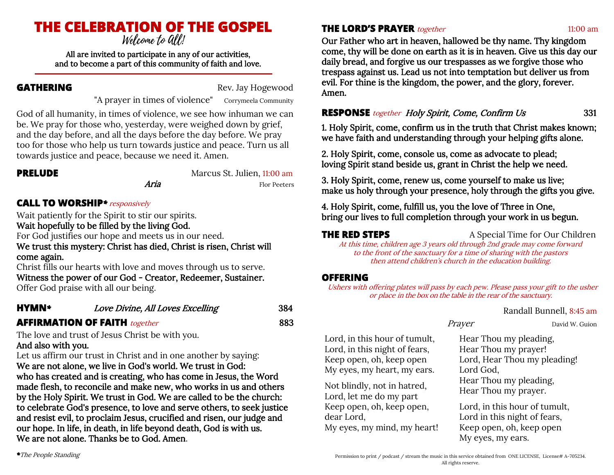# **THE CELEBRATION OF THE GOSPEL**

All are invited to participate in any of our activities, and to become a part of this community of faith and love.

**GATHERING** Rev. Jay Hogewood

"A prayer in times of violence" Corrymeela Community

God of all humanity, in times of violence, we see how inhuman we can be. We pray for those who, yesterday, were weighed down by grief, and the day before, and all the days before the day before. We pray too for those who help us turn towards justice and peace. Turn us all towards justice and peace, because we need it. Amen.

**PRELUDE Marcus St. Julien, 11:00 am Marcus** St. Julien, 11:00 am *Aria* Flor Peeters

# **CALL TO WORSHIP***\**responsively

Wait patiently for the Spirit to stir our spirits.

Wait hopefully to be filled by the living God.

For God justifies our hope and meets us in our need.

We trust this mystery: Christ has died, Christ is risen, Christ will come again.

Christ fills our hearts with love and moves through us to serve. Witness the power of our God - Creator, Redeemer, Sustainer. Offer God praise with all our being.

| <b>HYMN*</b> | Love Divine, All Loves Excelling | 384 |
|--------------|----------------------------------|-----|
|              |                                  |     |

# **AFFIRMATION OF FAITH** together **883**

The love and trust of Jesus Christ be with you.

# And also with you.

Let us affirm our trust in Christ and in one another by saying: We are not alone, we live in God's world. We trust in God: who has created and is creating, who has come in Jesus, the Word made flesh, to reconcile and make new, who works in us and others by the Holy Spirit. We trust in God. We are called to be the church: to celebrate God's presence, to love and serve others, to seek justice and resist evil, to proclaim Jesus, crucified and risen, our judge and our hope. In life, in death, in life beyond death, God is with us. We are not alone. Thanks be to God. Amen.

**THE LORD'S PRAYER** together 11:00 am

Our Father who art in heaven, hallowed be thy name. Thy kingdom come, thy will be done on earth as it is in heaven. Give us this day our daily bread, and forgive us our trespasses as we forgive those who trespass against us. Lead us not into temptation but deliver us from evil. For thine is the kingdom, the power, and the glory, forever. Amen.

**RESPONSE** together **Holy Spirit, Come, Confirm Us** 331

1. Holy Spirit, come, confirm us in the truth that Christ makes known; we have faith and understanding through your helping gifts alone.

2. Holy Spirit, come, console us, come as advocate to plead; loving Spirit stand beside us, grant in Christ the help we need.

3. Holy Spirit, come, renew us, come yourself to make us live; make us holy through your presence, holy through the gifts you give.

4. Holy Spirit, come, fulfill us, you the love of Three in One, bring our lives to full completion through your work in us begun.

**THE RED STEPS** A Special Time for Our Children

At this time, children age 3 years old through 2nd grade may come forward to the front of the sanctuary for a time of sharing with the pastors then attend children's church in the education building.

# **OFFERING**

Ushers with offering plates will pass by each pew. Please pass your gift to the usher or place in the box on the table in the rear of the sanctuary.

### Randall Bunnell, 8:45 am

Lord, in this hour of tumult, Lord, in this night of fears, Keep open, oh, keep open My eyes, my heart, my ears.

Not blindly, not in hatred, Lord, let me do my part Keep open, oh, keep open, dear Lord, My eyes, my mind, my heart!

Prayer David W. Guion

Hear Thou my pleading, Hear Thou my prayer! Lord, Hear Thou my pleading! Lord God, Hear Thou my pleading, Hear Thou my prayer.

Lord, in this hour of tumult, Lord in this night of fears, Keep open, oh, keep open My eyes, my ears.